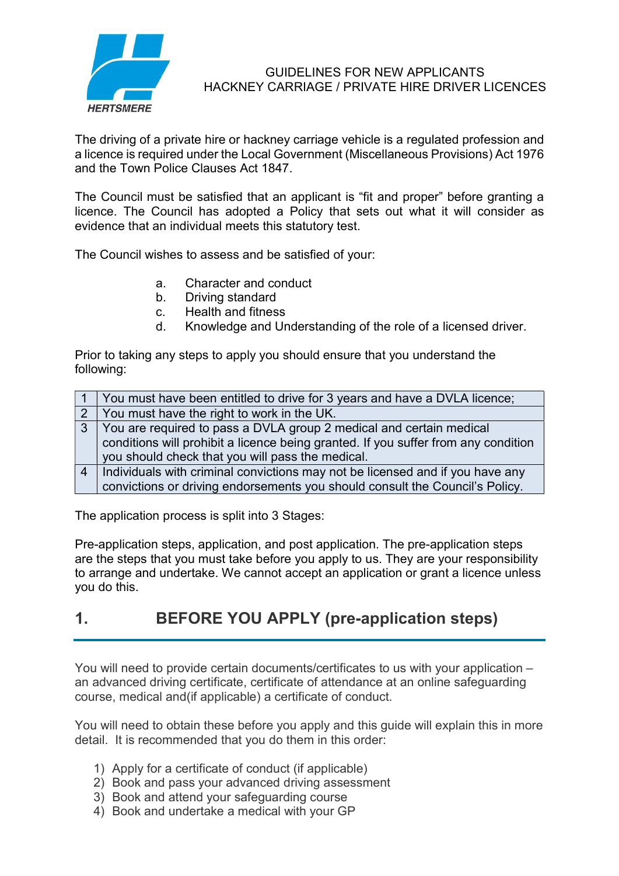

#### GUIDELINES FOR NEW APPLICANTS HACKNEY CARRIAGE / PRIVATE HIRE DRIVER LICENCES

The driving of a private hire or hackney carriage vehicle is a regulated profession and a licence is required under the Local Government (Miscellaneous Provisions) Act 1976 and the Town Police Clauses Act 1847.

The Council must be satisfied that an applicant is "fit and proper" before granting a licence. The Council has adopted a Policy that sets out what it will consider as evidence that an individual meets this statutory test.

The Council wishes to assess and be satisfied of your:

- a. Character and conduct
- b. Driving standard
- c. Health and fitness
- d. Knowledge and Understanding of the role of a licensed driver.

Prior to taking any steps to apply you should ensure that you understand the following:

|   | You must have been entitled to drive for 3 years and have a DVLA licence;          |
|---|------------------------------------------------------------------------------------|
|   | 2 You must have the right to work in the UK.                                       |
| 3 | You are required to pass a DVLA group 2 medical and certain medical                |
|   | conditions will prohibit a licence being granted. If you suffer from any condition |
|   | you should check that you will pass the medical.                                   |
| 4 | Individuals with criminal convictions may not be licensed and if you have any      |
|   | convictions or driving endorsements you should consult the Council's Policy.       |

The application process is split into 3 Stages:

Pre-application steps, application, and post application. The pre-application steps are the steps that you must take before you apply to us. They are your responsibility to arrange and undertake. We cannot accept an application or grant a licence unless you do this.

## 1. BEFORE YOU APPLY (pre-application steps)

You will need to provide certain documents/certificates to us with your application – an advanced driving certificate, certificate of attendance at an online safeguarding course, medical and(if applicable) a certificate of conduct.

You will need to obtain these before you apply and this guide will explain this in more detail. It is recommended that you do them in this order:

- 1) Apply for a certificate of conduct (if applicable)
- 2) Book and pass your advanced driving assessment
- 3) Book and attend your safeguarding course
- 4) Book and undertake a medical with your GP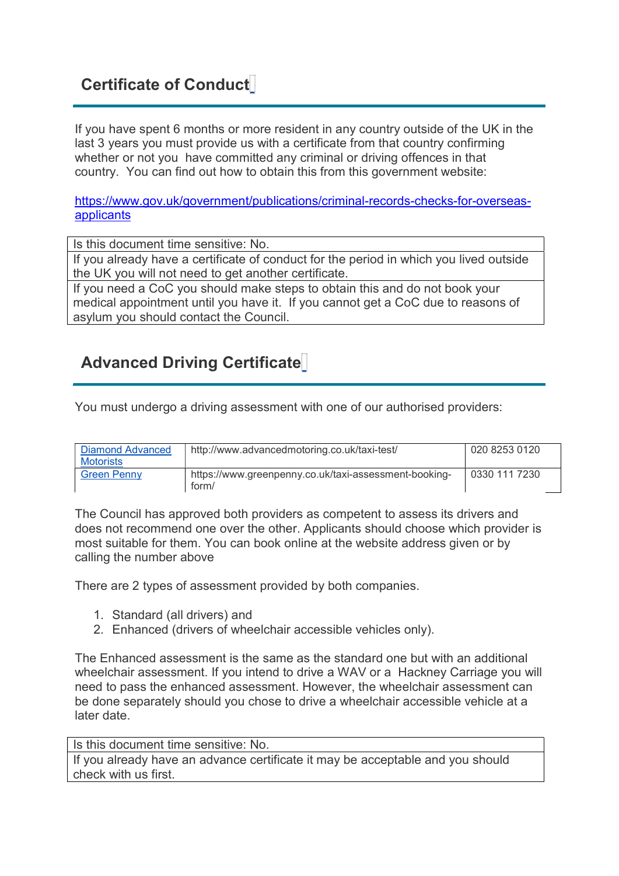## Certificate of Conduct

If you have spent 6 months or more resident in any country outside of the UK in the last 3 years you must provide us with a certificate from that country confirming whether or not you have committed any criminal or driving offences in that country. You can find out how to obtain this from this government website:

https://www.gov.uk/government/publications/criminal-records-checks-for-overseasapplicants

Is this document time sensitive: No.

If you already have a certificate of conduct for the period in which you lived outside the UK you will not need to get another certificate.

If you need a CoC you should make steps to obtain this and do not book your medical appointment until you have it. If you cannot get a CoC due to reasons of asylum you should contact the Council.

# Advanced Driving Certificate

You must undergo a driving assessment with one of our authorised providers:

| <b>Diamond Advanced</b> | http://www.advancedmotoring.co.uk/taxi-test/          | 020 8253 0120 |
|-------------------------|-------------------------------------------------------|---------------|
| Motorists               |                                                       |               |
| <b>Green Penny</b>      | https://www.greenpenny.co.uk/taxi-assessment-booking- | 0330 111 7230 |
|                         | form/                                                 |               |

The Council has approved both providers as competent to assess its drivers and does not recommend one over the other. Applicants should choose which provider is most suitable for them. You can book online at the website address given or by calling the number above

There are 2 types of assessment provided by both companies.

- 1. Standard (all drivers) and
- 2. Enhanced (drivers of wheelchair accessible vehicles only).

The Enhanced assessment is the same as the standard one but with an additional wheelchair assessment. If you intend to drive a WAV or a Hackney Carriage you will need to pass the enhanced assessment. However, the wheelchair assessment can be done separately should you chose to drive a wheelchair accessible vehicle at a later date.

Is this document time sensitive: No. If you already have an advance certificate it may be acceptable and you should check with us first.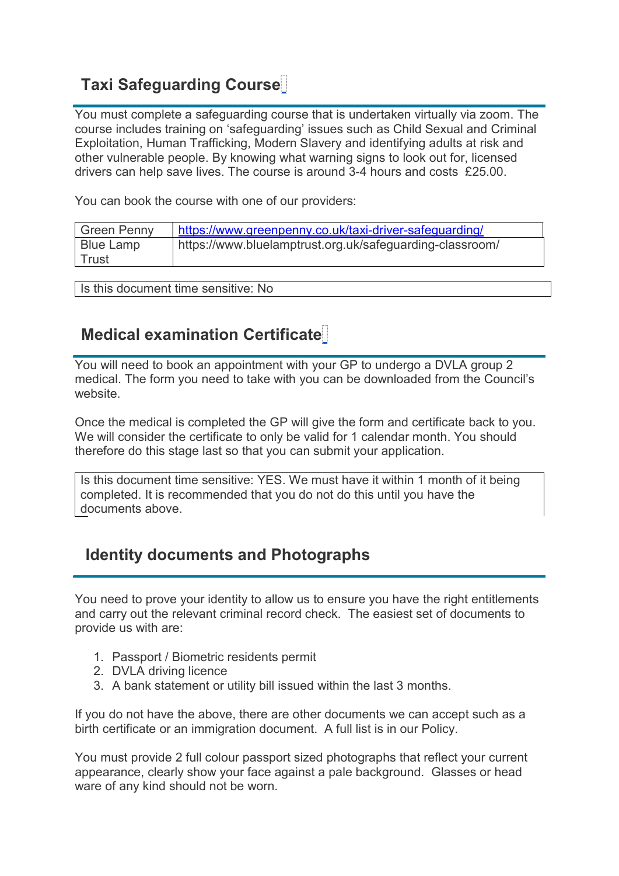# Taxi Safeguarding Course

You must complete a safeguarding course that is undertaken virtually via zoom. The course includes training on 'safeguarding' issues such as Child Sexual and Criminal Exploitation, Human Trafficking, Modern Slavery and identifying adults at risk and other vulnerable people. By knowing what warning signs to look out for, licensed drivers can help save lives. The course is around 3-4 hours and costs £25.00.

You can book the course with one of our providers:

| Green Penny      | https://www.greenpenny.co.uk/taxi-driver-safequarding/   |
|------------------|----------------------------------------------------------|
| <b>Blue Lamp</b> | https://www.bluelamptrust.org.uk/safeguarding-classroom/ |
| l Trust          |                                                          |

Is this document time sensitive: No

## Medical examination Certificate

You will need to book an appointment with your GP to undergo a DVLA group 2 medical. The form you need to take with you can be downloaded from the Council's website.

Once the medical is completed the GP will give the form and certificate back to you. We will consider the certificate to only be valid for 1 calendar month. You should therefore do this stage last so that you can submit your application.

Is this document time sensitive: YES. We must have it within 1 month of it being completed. It is recommended that you do not do this until you have the documents above.

## Identity documents and Photographs

You need to prove your identity to allow us to ensure you have the right entitlements and carry out the relevant criminal record check. The easiest set of documents to provide us with are:

- 1. Passport / Biometric residents permit
- 2. DVLA driving licence
- 3. A bank statement or utility bill issued within the last 3 months.

If you do not have the above, there are other documents we can accept such as a birth certificate or an immigration document. A full list is in our Policy.

You must provide 2 full colour passport sized photographs that reflect your current appearance, clearly show your face against a pale background. Glasses or head ware of any kind should not be worn.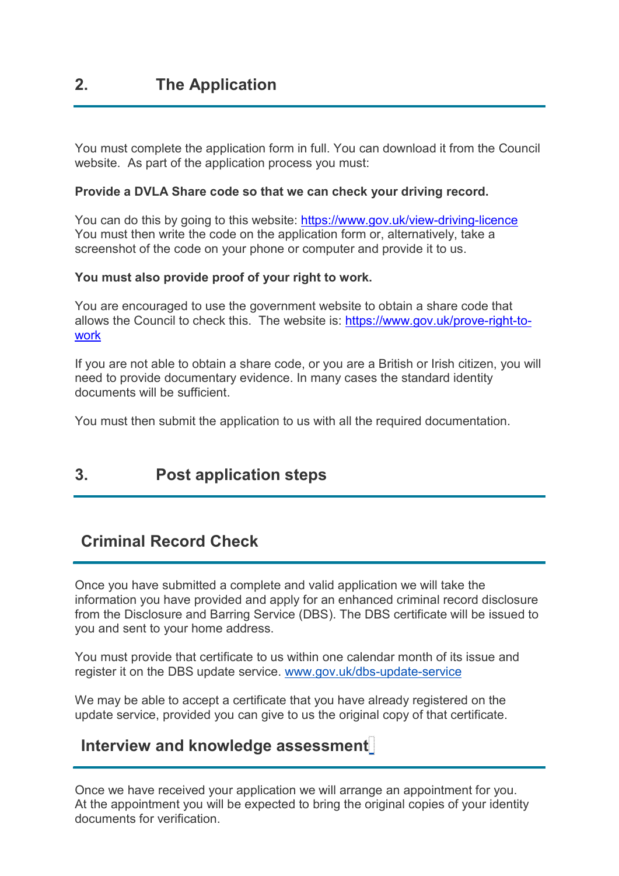You must complete the application form in full. You can download it from the Council website. As part of the application process you must:

#### Provide a DVLA Share code so that we can check your driving record.

You can do this by going to this website: https://www.gov.uk/view-driving-licence You must then write the code on the application form or, alternatively, take a screenshot of the code on your phone or computer and provide it to us.

#### You must also provide proof of your right to work.

You are encouraged to use the government website to obtain a share code that allows the Council to check this. The website is: https://www.gov.uk/prove-right-towork

If you are not able to obtain a share code, or you are a British or Irish citizen, you will need to provide documentary evidence. In many cases the standard identity documents will be sufficient.

You must then submit the application to us with all the required documentation.

## 3. Post application steps

## Criminal Record Check

Once you have submitted a complete and valid application we will take the information you have provided and apply for an enhanced criminal record disclosure from the Disclosure and Barring Service (DBS). The DBS certificate will be issued to you and sent to your home address.

You must provide that certificate to us within one calendar month of its issue and register it on the DBS update service. www.gov.uk/dbs-update-service

We may be able to accept a certificate that you have already registered on the update service, provided you can give to us the original copy of that certificate.

### Interview and knowledge assessment

Once we have received your application we will arrange an appointment for you. At the appointment you will be expected to bring the original copies of your identity documents for verification.